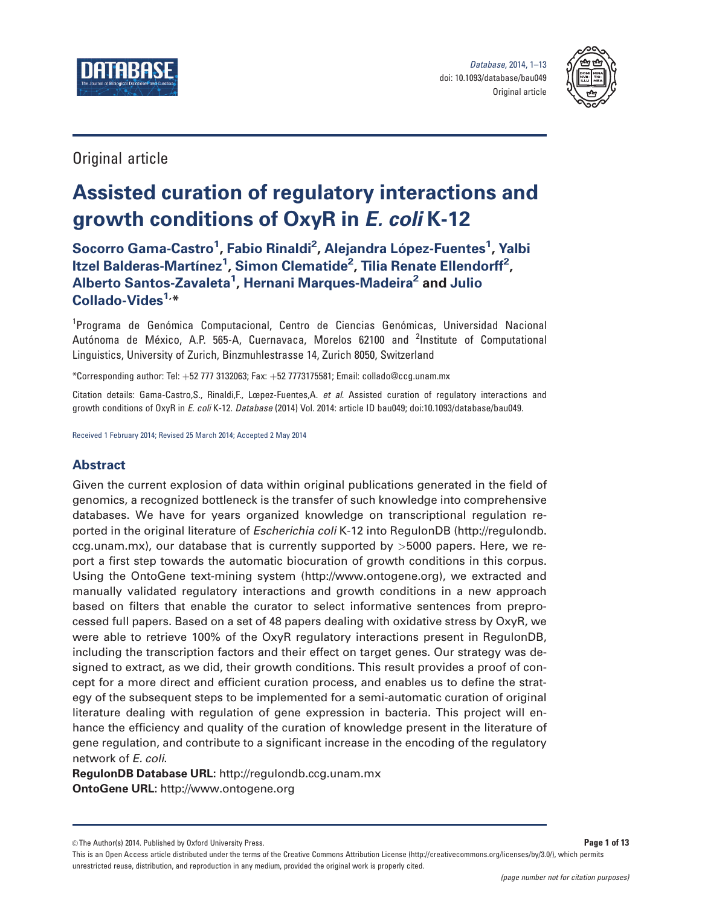

Database, 2014, 1–13 doi: 10.1093/database/bau049 Original article



Original article

# Assisted curation of regulatory interactions and growth conditions of OxyR in E. coli K-12

Socorro Gama-Castro<sup>1</sup>, Fabio Rinaldi<sup>2</sup>, Alejandra López-Fuentes<sup>1</sup>, Yalbi ltzel Balderas-Martínez<sup>1</sup>, Simon Clematide<sup>2</sup>, Tilia Renate Ellendorff<sup>2</sup>, Alberto Santos-Zavaleta<sup>1</sup>, Hernani Marques-Madeira<sup>2</sup> and Julio Collado-Vides<sup>1,\*</sup>

<sup>1</sup>Programa de Genómica Computacional, Centro de Ciencias Genómicas, Universidad Nacional Autónoma de México, A.P. 565-A, Cuernavaca, Morelos 62100 and <sup>2</sup>Institute of Computational Linguistics, University of Zurich, Binzmuhlestrasse 14, Zurich 8050, Switzerland

 $*$ Corresponding author: Tel:  $+52$  777 3132063; Fax:  $+52$  7773175581; Email: collado@ccg.unam.mx

Citation details: Gama-Castro,S., Rinaldi,F., Lœpez-Fuentes,A. et al. Assisted curation of regulatory interactions and growth conditions of OxyR in E. coli K-12. Database (2014) Vol. 2014: article ID bau049; doi:10.1093/database/bau049.

Received 1 February 2014; Revised 25 March 2014; Accepted 2 May 2014

## Abstract

Given the current explosion of data within original publications generated in the field of genomics, a recognized bottleneck is the transfer of such knowledge into comprehensive databases. We have for years organized knowledge on transcriptional regulation reported in the original literature of Escherichia coli K-12 into RegulonDB [\(http://regulondb.](http://regulondb.ccg.unam.mx) [ccg.unam.mx\)](http://regulondb.ccg.unam.mx), our database that is currently supported by  $>5000$  papers. Here, we report a first step towards the automatic biocuration of growth conditions in this corpus. Using the OntoGene text-mining system (<http://www.ontogene.org>), we extracted and manually validated regulatory interactions and growth conditions in a new approach based on filters that enable the curator to select informative sentences from preprocessed full papers. Based on a set of 48 papers dealing with oxidative stress by OxyR, we were able to retrieve 100% of the OxyR regulatory interactions present in RegulonDB, including the transcription factors and their effect on target genes. Our strategy was designed to extract, as we did, their growth conditions. This result provides a proof of concept for a more direct and efficient curation process, and enables us to define the strategy of the subsequent steps to be implemented for a semi-automatic curation of original literature dealing with regulation of gene expression in bacteria. This project will enhance the efficiency and quality of the curation of knowledge present in the literature of gene regulation, and contribute to a significant increase in the encoding of the regulatory network of E. coli.

RegulonDB Database URL: <http://regulondb.ccg.unam.mx> OntoGene URL: <http://www.ontogene.org>

 $\heartsuit$  The Author(s) 2014. Published by Oxford University Press.  $\blacksquare$ 

This is an Open Access article distributed under the terms of the Creative Commons Attribution License (http://creativecommons.org/licenses/by/3.0/), which permits unrestricted reuse, distribution, and reproduction in any medium, provided the original work is properly cited.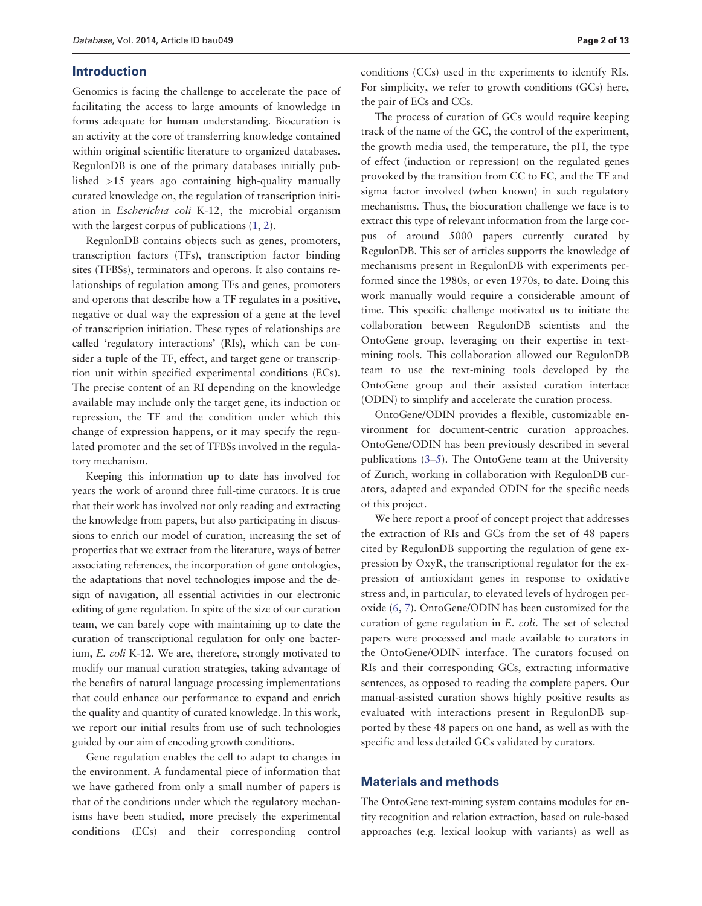#### Introduction

Genomics is facing the challenge to accelerate the pace of facilitating the access to large amounts of knowledge in forms adequate for human understanding. Biocuration is an activity at the core of transferring knowledge contained within original scientific literature to organized databases. RegulonDB is one of the primary databases initially published >15 years ago containing high-quality manually curated knowledge on, the regulation of transcription initiation in Escherichia coli K-12, the microbial organism with the largest corpus of publications  $(1, 2)$  $(1, 2)$  $(1, 2)$  $(1, 2)$ .

RegulonDB contains objects such as genes, promoters, transcription factors (TFs), transcription factor binding sites (TFBSs), terminators and operons. It also contains relationships of regulation among TFs and genes, promoters and operons that describe how a TF regulates in a positive, negative or dual way the expression of a gene at the level of transcription initiation. These types of relationships are called 'regulatory interactions' (RIs), which can be consider a tuple of the TF, effect, and target gene or transcription unit within specified experimental conditions (ECs). The precise content of an RI depending on the knowledge available may include only the target gene, its induction or repression, the TF and the condition under which this change of expression happens, or it may specify the regulated promoter and the set of TFBSs involved in the regulatory mechanism.

Keeping this information up to date has involved for years the work of around three full-time curators. It is true that their work has involved not only reading and extracting the knowledge from papers, but also participating in discussions to enrich our model of curation, increasing the set of properties that we extract from the literature, ways of better associating references, the incorporation of gene ontologies, the adaptations that novel technologies impose and the design of navigation, all essential activities in our electronic editing of gene regulation. In spite of the size of our curation team, we can barely cope with maintaining up to date the curation of transcriptional regulation for only one bacterium, E. coli K-12. We are, therefore, strongly motivated to modify our manual curation strategies, taking advantage of the benefits of natural language processing implementations that could enhance our performance to expand and enrich the quality and quantity of curated knowledge. In this work, we report our initial results from use of such technologies guided by our aim of encoding growth conditions.

Gene regulation enables the cell to adapt to changes in the environment. A fundamental piece of information that we have gathered from only a small number of papers is that of the conditions under which the regulatory mechanisms have been studied, more precisely the experimental conditions (ECs) and their corresponding control

conditions (CCs) used in the experiments to identify RIs. For simplicity, we refer to growth conditions (GCs) here, the pair of ECs and CCs.

The process of curation of GCs would require keeping track of the name of the GC, the control of the experiment, the growth media used, the temperature, the pH, the type of effect (induction or repression) on the regulated genes provoked by the transition from CC to EC, and the TF and sigma factor involved (when known) in such regulatory mechanisms. Thus, the biocuration challenge we face is to extract this type of relevant information from the large corpus of around 5000 papers currently curated by RegulonDB. This set of articles supports the knowledge of mechanisms present in RegulonDB with experiments performed since the 1980s, or even 1970s, to date. Doing this work manually would require a considerable amount of time. This specific challenge motivated us to initiate the collaboration between RegulonDB scientists and the OntoGene group, leveraging on their expertise in textmining tools. This collaboration allowed our RegulonDB team to use the text-mining tools developed by the OntoGene group and their assisted curation interface (ODIN) to simplify and accelerate the curation process.

OntoGene/ODIN provides a flexible, customizable environment for document-centric curation approaches. OntoGene/ODIN has been previously described in several publications [\(3–5](#page-11-0)). The OntoGene team at the University of Zurich, working in collaboration with RegulonDB curators, adapted and expanded ODIN for the specific needs of this project.

We here report a proof of concept project that addresses the extraction of RIs and GCs from the set of 48 papers cited by RegulonDB supporting the regulation of gene expression by OxyR, the transcriptional regulator for the expression of antioxidant genes in response to oxidative stress and, in particular, to elevated levels of hydrogen peroxide ([6,](#page-11-0) [7](#page-11-0)). OntoGene/ODIN has been customized for the curation of gene regulation in E. coli. The set of selected papers were processed and made available to curators in the OntoGene/ODIN interface. The curators focused on RIs and their corresponding GCs, extracting informative sentences, as opposed to reading the complete papers. Our manual-assisted curation shows highly positive results as evaluated with interactions present in RegulonDB supported by these 48 papers on one hand, as well as with the specific and less detailed GCs validated by curators.

## Materials and methods

The OntoGene text-mining system contains modules for entity recognition and relation extraction, based on rule-based approaches (e.g. lexical lookup with variants) as well as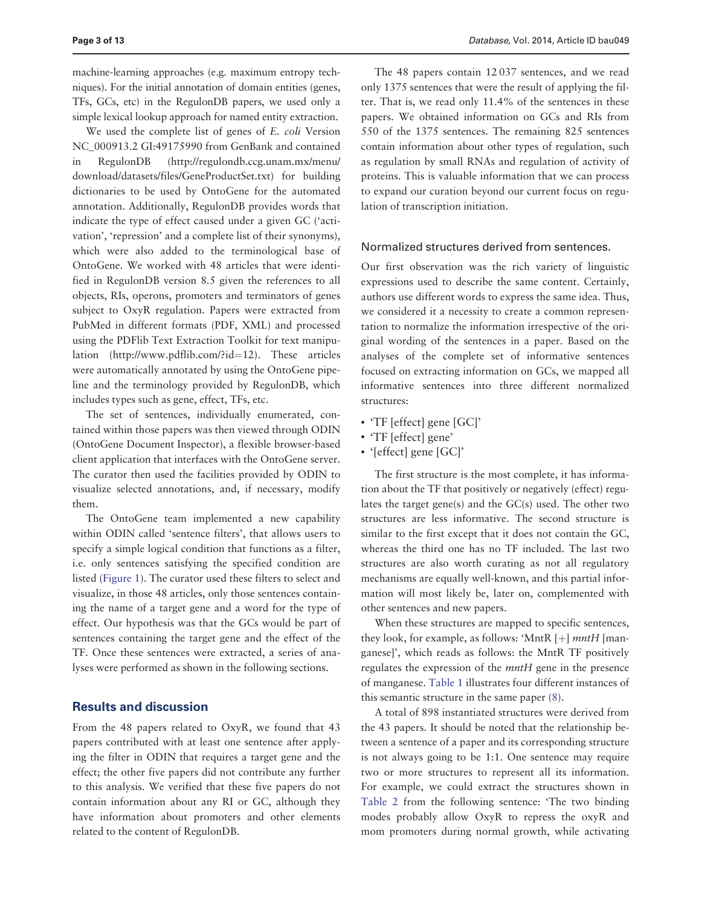machine-learning approaches (e.g. maximum entropy techniques). For the initial annotation of domain entities (genes, TFs, GCs, etc) in the RegulonDB papers, we used only a simple lexical lookup approach for named entity extraction.

We used the complete list of genes of E. coli Version NC\_000913.2 GI:49175990 from GenBank and contained in RegulonDB [\(http://regulondb.ccg.unam.mx/menu/](http://regulondb.ccg.unam.mx/menu/download/datasets/files/GeneProductSet.txt) [download/datasets/files/GeneProductSet.txt](http://regulondb.ccg.unam.mx/menu/download/datasets/files/GeneProductSet.txt)) for building dictionaries to be used by OntoGene for the automated annotation. Additionally, RegulonDB provides words that indicate the type of effect caused under a given GC ('activation', 'repression' and a complete list of their synonyms), which were also added to the terminological base of OntoGene. We worked with 48 articles that were identified in RegulonDB version 8.5 given the references to all objects, RIs, operons, promoters and terminators of genes subject to OxyR regulation. Papers were extracted from PubMed in different formats (PDF, XML) and processed using the PDFlib Text Extraction Toolkit for text manipu-lation [\(http://www.pdflib.com/?id](http://www.pdflib.com/?id=12)=[12\)](http://www.pdflib.com/?id=12). These articles were automatically annotated by using the OntoGene pipeline and the terminology provided by RegulonDB, which includes types such as gene, effect, TFs, etc.

The set of sentences, individually enumerated, contained within those papers was then viewed through ODIN (OntoGene Document Inspector), a flexible browser-based client application that interfaces with the OntoGene server. The curator then used the facilities provided by ODIN to visualize selected annotations, and, if necessary, modify them.

The OntoGene team implemented a new capability within ODIN called 'sentence filters', that allows users to specify a simple logical condition that functions as a filter, i.e. only sentences satisfying the specified condition are listed ([Figure 1](#page-3-0)). The curator used these filters to select and visualize, in those 48 articles, only those sentences containing the name of a target gene and a word for the type of effect. Our hypothesis was that the GCs would be part of sentences containing the target gene and the effect of the TF. Once these sentences were extracted, a series of analyses were performed as shown in the following sections.

## Results and discussion

From the 48 papers related to OxyR, we found that 43 papers contributed with at least one sentence after applying the filter in ODIN that requires a target gene and the effect; the other five papers did not contribute any further to this analysis. We verified that these five papers do not contain information about any RI or GC, although they have information about promoters and other elements related to the content of RegulonDB.

The 48 papers contain 12 037 sentences, and we read only 1375 sentences that were the result of applying the filter. That is, we read only 11.4% of the sentences in these papers. We obtained information on GCs and RIs from 550 of the 1375 sentences. The remaining 825 sentences contain information about other types of regulation, such as regulation by small RNAs and regulation of activity of proteins. This is valuable information that we can process to expand our curation beyond our current focus on regulation of transcription initiation.

#### Normalized structures derived from sentences.

Our first observation was the rich variety of linguistic expressions used to describe the same content. Certainly, authors use different words to express the same idea. Thus, we considered it a necessity to create a common representation to normalize the information irrespective of the original wording of the sentences in a paper. Based on the analyses of the complete set of informative sentences focused on extracting information on GCs, we mapped all informative sentences into three different normalized structures:

- 'TF [effect] gene [GC]'
- 'TF [effect] gene'
- '[effect] gene [GC]'

The first structure is the most complete, it has information about the TF that positively or negatively (effect) regulates the target gene(s) and the GC(s) used. The other two structures are less informative. The second structure is similar to the first except that it does not contain the GC, whereas the third one has no TF included. The last two structures are also worth curating as not all regulatory mechanisms are equally well-known, and this partial information will most likely be, later on, complemented with other sentences and new papers.

When these structures are mapped to specific sentences, they look, for example, as follows: 'MntR  $[+]$  mntH [manganese]', which reads as follows: the MntR TF positively regulates the expression of the mntH gene in the presence of manganese. [Table 1](#page-3-0) illustrates four different instances of this semantic structure in the same paper ([8\)](#page-11-0).

A total of 898 instantiated structures were derived from the 43 papers. It should be noted that the relationship between a sentence of a paper and its corresponding structure is not always going to be 1:1. One sentence may require two or more structures to represent all its information. For example, we could extract the structures shown in [Table 2](#page-4-0) from the following sentence: 'The two binding modes probably allow OxyR to repress the oxyR and mom promoters during normal growth, while activating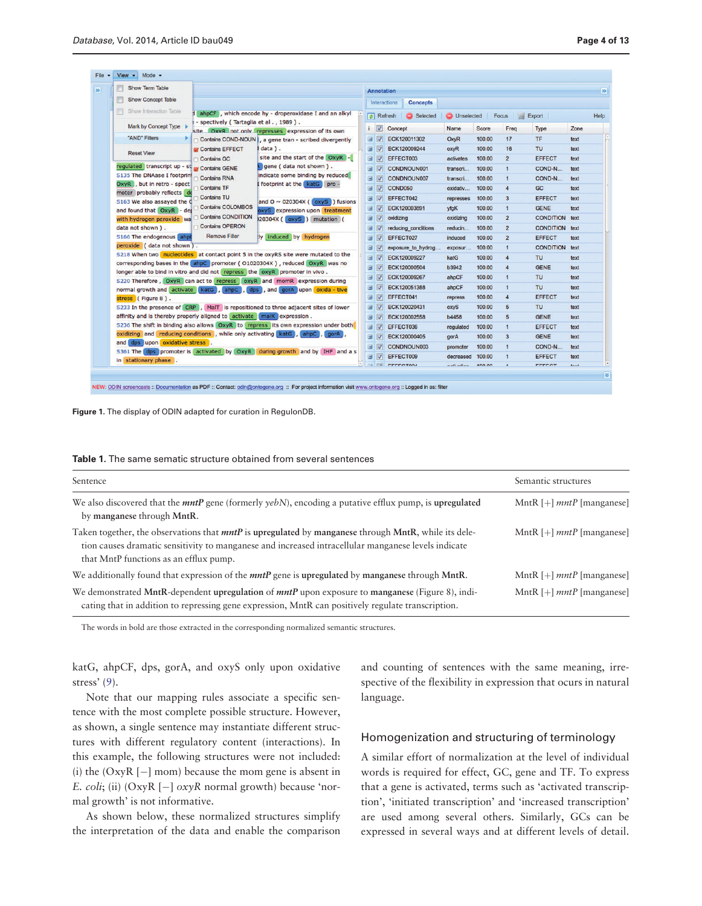<span id="page-3-0"></span>

| <b>Show Term Table</b>                                                      |                                        |                                                                                       |                | <b>Annotation</b>       |                    |                     |                     |              |                      |                       |              |
|-----------------------------------------------------------------------------|----------------------------------------|---------------------------------------------------------------------------------------|----------------|-------------------------|--------------------|---------------------|---------------------|--------------|----------------------|-----------------------|--------------|
| <b>Show Concept Table</b>                                                   |                                        |                                                                                       |                |                         | Interactions       | <b>Concepts</b>     |                     |              |                      |                       |              |
| Show Interaction Table                                                      |                                        | ahpCF , which encode hy - droperoxidase I and an alkyl                                |                |                         | $\epsilon$ Refresh | Selected            | <b>O</b> Unselected |              | Focus                | Export                |              |
| Mark by Concept Type                                                        | - spectively (Tartaglia et al., 1989). | site OxvR not only represses expression of its own                                    |                | $\triangledown$         | Concept            |                     | <b>Name</b>         | <b>Score</b> | Freq                 | <b>Type</b>           | Zone         |
| "AND" Filters                                                               |                                        | Contains COND-NOUN  , a gene tran - scribed divergently                               | ⊞              | IJ                      |                    | ECK120011302        | OxyR                | 100.00       | 17                   | <b>TF</b>             | text         |
|                                                                             | Contains EFFECT                        | $data$ ).                                                                             | ⊞              | V                       |                    | ECK120009244        | oxyR                | 100.00       | 16                   | TU                    | text         |
| <b>Reset View</b>                                                           | <b>Contains GC</b>                     | site and the start of the OxyR -                                                      | 田              | IV                      | EFFECT003          |                     | activates           | 100.00       | $\overline{2}$       | <b>EFFECT</b>         | text         |
| regulated transcript up - st                                                | Contains GENE                          | qene (data not shown).                                                                | 田              | v                       |                    | CONDNOUN001         | transcri            | 100.00       | $\blacktriangleleft$ | COND-N                | text         |
| S135 The DNAase I footprint                                                 | <b>Contains RNA</b>                    | Indicate some binding by reduced                                                      | $\boxplus$     | V                       |                    | CONDNOUN007         | transcri            | 100.00       | $\mathbf{1}$         | COND-N                | text         |
| OxyR, but in retro - spect                                                  | <b>Contains TF</b>                     | footprint at the katG pro -                                                           | ⊞              | v                       | COND050            |                     | oxidativ            | 100.00       | $\overline{4}$       | GC                    | text         |
| moter probably reflects de                                                  | <b>Contains TU</b>                     |                                                                                       | $\blacksquare$ | V                       | EFFECT042          |                     | represses           | 100.00       | 3                    | <b>EFFECT</b>         | text         |
| S163 We also assayed the C<br>and found that OxvR - der                     | <b>Contains COLOMBOS</b>               | and $O \sim 020304X$ ( $\sqrt{0xyS}$ ) fusions<br>oxyS expression upon treatment      | 田              | V                       |                    | ECK120003891        | vfaK                | 100.00       | $\mathbf{1}$         | <b>GENE</b>           | text         |
| with hydrogen peroxide wa                                                   | <b>Contains CONDITION</b>              | $120304X$ ( $\sqrt{oxyS}$ ) mutation (                                                | ⊞              | IV                      | oxidizing          |                     | oxidizing           | 100.00       | $\overline{2}$       | <b>CONDITION</b>      | text         |
| data not shown ).                                                           | <b>Contains OPERON</b>                 |                                                                                       | ⊞              | $\triangledown$         |                    | reducing conditions | reducin             | 100.00       | $\overline{2}$       | <b>CONDITION</b> text |              |
| S166 The endogenous ahpt                                                    | <b>Remove Filter</b>                   | tly induced by hydrogen                                                               | 田              | ⊽                       | EFFECT027          |                     | induced             | 100.00       | $\overline{2}$       | <b>EFFECT</b>         | text         |
| peroxide (data not shown).                                                  |                                        |                                                                                       | $\blacksquare$ | $\overline{\mathbf{v}}$ |                    | exposure to hydrog  | exposur             | 100.00       | $\mathbf{1}$         | <b>CONDITION</b> text |              |
|                                                                             |                                        | S218 When two nucleotides at contact point 5 in the oxyRS site were mutated to the    | 田              | V                       |                    | ECK120009227        | katG                | 100.00       | $\overline{4}$       | <b>TU</b>             | text         |
|                                                                             |                                        | corresponding bases in the ahpC promoter (O1020304X), reduced OxyR was no             | ⊞              | V                       |                    | ECK120000504        | <b>b3942</b>        | 100.00       | $\overline{4}$       | <b>GENE</b>           | text         |
| longer able to bind in vitro and did not repress the oxyR promoter in vivo. |                                        |                                                                                       | $\blacksquare$ | V                       |                    | ECK120009267        | ahpCF               | 100.00       | $\mathbf{1}$         | TU                    | text         |
|                                                                             |                                        | S220 Therefore, OxyR can act to repress oxyR and momR expression during               | 田              | IV                      |                    | ECK120051388        | ahpCF               | 100.00       | $\mathbf{1}$         | TU                    | text         |
| normal growth and activate katG, ahpC<br>stress (Figure 8).                 |                                        | dps , and gorA upon oxida - tive                                                      | 田              | v                       | EFFECT041          |                     | repress             | 100.00       | $\overline{4}$       | <b>EFFECT</b>         | text         |
|                                                                             |                                        | \$233 In the presence of CRP, MalT is repositioned to three adjacent sites of lower   | ⊞              | $\overline{v}$          |                    | ECK120020431        | oxyS                | 100.00       | 5                    | TU                    | text         |
| affinity and is thereby properly aligned to activate malk expression.       |                                        |                                                                                       | 田              | IJ                      |                    | ECK120002558        | <b>b4458</b>        | 100.00       | 5                    | <b>GENE</b>           | text         |
|                                                                             |                                        | S236 The shift in binding also allows   OxyR to repress its own expression under both |                | EV                      | EFFECT036          |                     | regulated           | 100.00       | $\mathbf{1}$         | <b>EFFECT</b>         | text         |
| oxidizing and reducing conditions , while only activating katG, ahpC,       |                                        | gorA,                                                                                 | ⊕              | V                       |                    | ECK120000405        | gorA                | 100.00       | 3                    | <b>GENE</b>           | text         |
| and dps upon oxidative stress.                                              |                                        |                                                                                       |                | <b>B</b>                |                    | CONDNOUN003         | promoter            | 100.00       | $\overline{1}$       | COND-N                | text         |
|                                                                             |                                        | S361 The dps promoter is activated by OxyR during growth and by IHF and a s           |                | 日マ                      | EFFECT009          |                     | decreased           | 100.00       | $\overline{1}$       | <b>EFFECT</b>         | text         |
| in stationary phase.                                                        |                                        |                                                                                       |                | $(73 - 172)$            | <b>FEFECTOOL</b>   |                     | $n$ mble creditum   | 10000        | $\blacktriangleleft$ | <b>FEEFAT</b>         | <b>Amunk</b> |
|                                                                             |                                        |                                                                                       |                |                         |                    |                     |                     |              |                      |                       |              |

Figure 1. The display of ODIN adapted for curation in RegulonDB.

| <b>Table 1.</b> The same sematic structure obtained from several sentences |
|----------------------------------------------------------------------------|
|----------------------------------------------------------------------------|

| Sentence                                                                                                                                                                                                                                                     | Semantic structures                |
|--------------------------------------------------------------------------------------------------------------------------------------------------------------------------------------------------------------------------------------------------------------|------------------------------------|
| We also discovered that the <i>mntP</i> gene (formerly $yebN$ ), encoding a putative efflux pump, is <b>upregulated</b><br>by manganese through MntR.                                                                                                        | MntR $[+]$ <i>mntP</i> [manganese] |
| Taken together, the observations that <i>mntP</i> is upregulated by manganese through MntR, while its dele-<br>tion causes dramatic sensitivity to manganese and increased intracellular manganese levels indicate<br>that MntP functions as an efflux pump. | MntR $[+]$ <i>mntP</i> [manganese] |
| We additionally found that expression of the <i>mntP</i> gene is upregulated by manganese through MntR.                                                                                                                                                      | MntR $[+]$ <i>mntP</i> [manganese] |
| We demonstrated MntR-dependent upregulation of <i>mntP</i> upon exposure to manganese (Figure 8), indi-<br>cating that in addition to repressing gene expression, MntR can positively regulate transcription.                                                | MntR $[+]$ <i>mntP</i> [manganese] |

The words in bold are those extracted in the corresponding normalized semantic structures.

katG, ahpCF, dps, gorA, and oxyS only upon oxidative stress' ([9\)](#page-11-0).

Note that our mapping rules associate a specific sentence with the most complete possible structure. However, as shown, a single sentence may instantiate different structures with different regulatory content (interactions). In this example, the following structures were not included: (i) the  $(OxyR[-]$  mom) because the mom gene is absent in E. coli; (ii) (OxyR [-] oxyR normal growth) because 'normal growth' is not informative.

As shown below, these normalized structures simplify the interpretation of the data and enable the comparison and counting of sentences with the same meaning, irrespective of the flexibility in expression that ocurs in natural language.

## Homogenization and structuring of terminology

A similar effort of normalization at the level of individual words is required for effect, GC, gene and TF. To express that a gene is activated, terms such as 'activated transcription', 'initiated transcription' and 'increased transcription' are used among several others. Similarly, GCs can be expressed in several ways and at different levels of detail.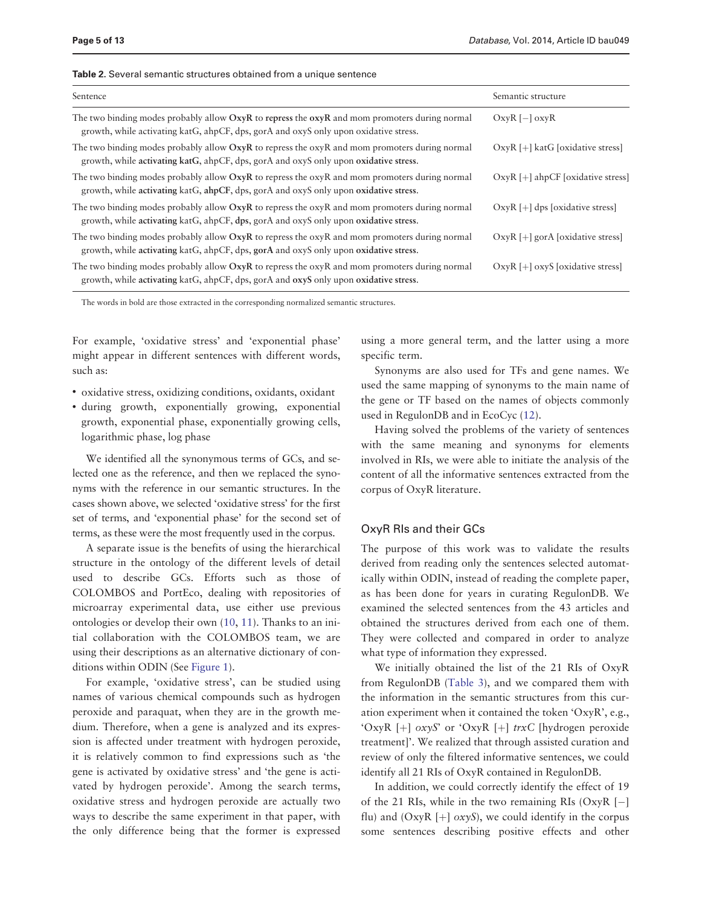#### <span id="page-4-0"></span>Table 2. Several semantic structures obtained from a unique sentence

| Sentence                                                                                                                                                                                  | Semantic structure                  |
|-------------------------------------------------------------------------------------------------------------------------------------------------------------------------------------------|-------------------------------------|
| The two binding modes probably allow OxyR to repress the oxyR and mom promoters during normal<br>growth, while activating katG, ahpCF, dps, gorA and oxyS only upon oxidative stress.     | $OxyR$ $\left[-\right]$ oxyR        |
| The two binding modes probably allow OxyR to repress the oxyR and mom promoters during normal<br>growth, while activating katG, ahpCF, dps, gorA and oxyS only upon oxidative stress.     | $OxyR$ [+] katG [oxidative stress]  |
| The two binding modes probably allow $OxyR$ to repress the $oxyR$ and mom promoters during normal<br>growth, while activating katG, ahpCF, dps, gorA and oxyS only upon oxidative stress. | $OxyR$ [+] ahpCF [oxidative stress] |
| The two binding modes probably allow OxyR to repress the oxyR and mom promoters during normal<br>growth, while activating katG, ahpCF, dps, gorA and oxyS only upon oxidative stress.     | $OxyR$ [+] dps [oxidative stress]   |
| The two binding modes probably allow $OxyR$ to repress the $oxyR$ and mom promoters during normal<br>growth, while activating katG, ahpCF, dps, gorA and oxyS only upon oxidative stress. | $OxyR$ [+] gorA [oxidative stress]  |
| The two binding modes probably allow $OxyR$ to repress the $OxyR$ and mom promoters during normal<br>growth, while activating katG, ahpCF, dps, gorA and oxyS only upon oxidative stress. | OxyR [+] oxyS [oxidative stress]    |

The words in bold are those extracted in the corresponding normalized semantic structures.

For example, 'oxidative stress' and 'exponential phase' might appear in different sentences with different words, such as:

- oxidative stress, oxidizing conditions, oxidants, oxidant
- during growth, exponentially growing, exponential growth, exponential phase, exponentially growing cells, logarithmic phase, log phase

We identified all the synonymous terms of GCs, and selected one as the reference, and then we replaced the synonyms with the reference in our semantic structures. In the cases shown above, we selected 'oxidative stress' for the first set of terms, and 'exponential phase' for the second set of terms, as these were the most frequently used in the corpus.

A separate issue is the benefits of using the hierarchical structure in the ontology of the different levels of detail used to describe GCs. Efforts such as those of COLOMBOS and PortEco, dealing with repositories of microarray experimental data, use either use previous ontologies or develop their own [\(10](#page-11-0), [11\)](#page-11-0). Thanks to an initial collaboration with the COLOMBOS team, we are using their descriptions as an alternative dictionary of conditions within ODIN (See [Figure 1](#page-3-0)).

For example, 'oxidative stress', can be studied using names of various chemical compounds such as hydrogen peroxide and paraquat, when they are in the growth medium. Therefore, when a gene is analyzed and its expression is affected under treatment with hydrogen peroxide, it is relatively common to find expressions such as 'the gene is activated by oxidative stress' and 'the gene is activated by hydrogen peroxide'. Among the search terms, oxidative stress and hydrogen peroxide are actually two ways to describe the same experiment in that paper, with the only difference being that the former is expressed

using a more general term, and the latter using a more specific term.

Synonyms are also used for TFs and gene names. We used the same mapping of synonyms to the main name of the gene or TF based on the names of objects commonly used in RegulonDB and in EcoCyc ([12\)](#page-11-0).

Having solved the problems of the variety of sentences with the same meaning and synonyms for elements involved in RIs, we were able to initiate the analysis of the content of all the informative sentences extracted from the corpus of OxyR literature.

#### OxyR RIs and their GCs

The purpose of this work was to validate the results derived from reading only the sentences selected automatically within ODIN, instead of reading the complete paper, as has been done for years in curating RegulonDB. We examined the selected sentences from the 43 articles and obtained the structures derived from each one of them. They were collected and compared in order to analyze what type of information they expressed.

We initially obtained the list of the 21 RIs of OxyR from RegulonDB ([Table 3](#page-5-0)), and we compared them with the information in the semantic structures from this curation experiment when it contained the token 'OxyR', e.g., 'OxyR  $[+]$  oxyS' or 'OxyR  $[+]$  trxC [hydrogen peroxide treatment]'. We realized that through assisted curation and review of only the filtered informative sentences, we could identify all 21 RIs of OxyR contained in RegulonDB.

In addition, we could correctly identify the effect of 19 of the 21 RIs, while in the two remaining RIs ( $OxyR$  [-] flu) and (OxyR  $[+]$  oxyS), we could identify in the corpus some sentences describing positive effects and other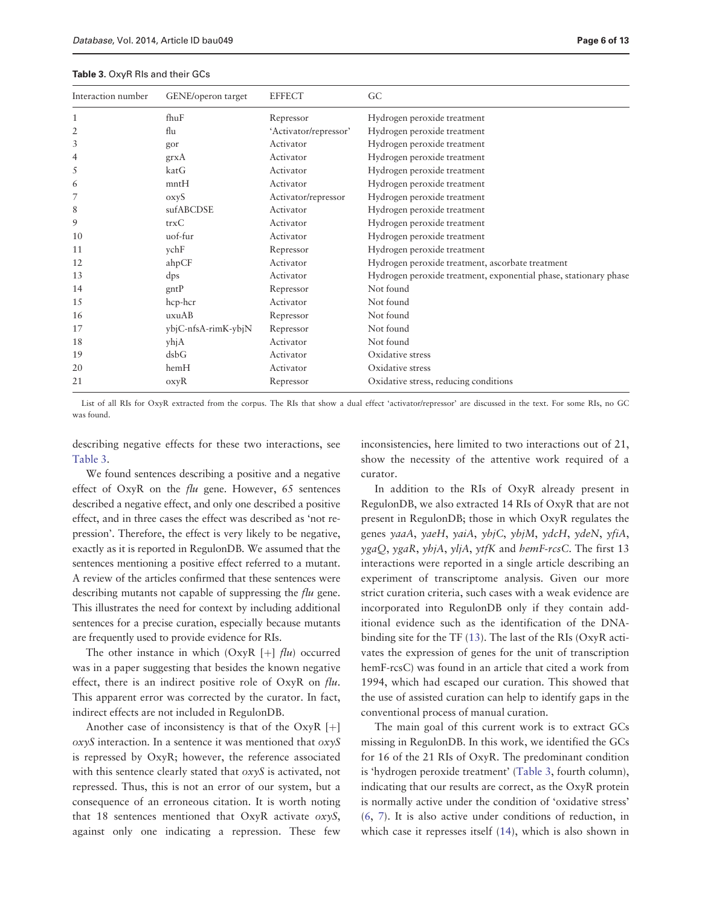#### <span id="page-5-0"></span>Table 3. OxyR RIs and their GCs

| Page 6 o |  |
|----------|--|
|          |  |

| Interaction number | GENE/operon target  | <b>EFFECT</b>         | GC                                                               |
|--------------------|---------------------|-----------------------|------------------------------------------------------------------|
| 1                  | fhuF                | Repressor             | Hydrogen peroxide treatment                                      |
| $\overline{2}$     | flu                 | 'Activator/repressor' | Hydrogen peroxide treatment                                      |
| 3                  | gor                 | Activator             | Hydrogen peroxide treatment                                      |
| $\overline{4}$     | grxA                | Activator             | Hydrogen peroxide treatment                                      |
| 5                  | katG                | Activator             | Hydrogen peroxide treatment                                      |
| 6                  | mntH                | Activator             | Hydrogen peroxide treatment                                      |
| 7                  | oxyS                | Activator/repressor   | Hydrogen peroxide treatment                                      |
| 8                  | sufABCDSE           | Activator             | Hydrogen peroxide treatment                                      |
| 9                  | trxC                | Activator             | Hydrogen peroxide treatment                                      |
| 10                 | uof-fur             | Activator             | Hydrogen peroxide treatment                                      |
| 11                 | ychF                | Repressor             | Hydrogen peroxide treatment                                      |
| 12                 | ahpCF               | Activator             | Hydrogen peroxide treatment, ascorbate treatment                 |
| 13                 | dps                 | Activator             | Hydrogen peroxide treatment, exponential phase, stationary phase |
| 14                 | gntP                | Repressor             | Not found                                                        |
| 15                 | hcp-hcr             | Activator             | Not found                                                        |
| 16                 | uxuAB               | Repressor             | Not found                                                        |
| 17                 | ybjC-nfsA-rimK-ybjN | Repressor             | Not found                                                        |
| 18                 | yhjA                | Activator             | Not found                                                        |
| 19                 | dsbG                | Activator             | Oxidative stress                                                 |
| 20                 | hemH                | Activator             | Oxidative stress                                                 |
| 21                 | oxyR                | Repressor             | Oxidative stress, reducing conditions                            |

List of all RIs for OxyR extracted from the corpus. The RIs that show a dual effect 'activator/repressor' are discussed in the text. For some RIs, no GC was found.

describing negative effects for these two interactions, see Table 3.

We found sentences describing a positive and a negative effect of OxyR on the flu gene. However, 65 sentences described a negative effect, and only one described a positive effect, and in three cases the effect was described as 'not repression'. Therefore, the effect is very likely to be negative, exactly as it is reported in RegulonDB. We assumed that the sentences mentioning a positive effect referred to a mutant. A review of the articles confirmed that these sentences were describing mutants not capable of suppressing the *flu* gene. This illustrates the need for context by including additional sentences for a precise curation, especially because mutants are frequently used to provide evidence for RIs.

The other instance in which  $(OxyR \t{+} f/u)$  occurred was in a paper suggesting that besides the known negative effect, there is an indirect positive role of OxyR on flu. This apparent error was corrected by the curator. In fact, indirect effects are not included in RegulonDB.

Another case of inconsistency is that of the OxyR  $[+]$  $oxyS$  interaction. In a sentence it was mentioned that  $oxyS$ is repressed by OxyR; however, the reference associated with this sentence clearly stated that  $\alpha xyS$  is activated, not repressed. Thus, this is not an error of our system, but a consequence of an erroneous citation. It is worth noting that 18 sentences mentioned that OxyR activate oxyS, against only one indicating a repression. These few

inconsistencies, here limited to two interactions out of 21, show the necessity of the attentive work required of a curator.

In addition to the RIs of OxyR already present in RegulonDB, we also extracted 14 RIs of OxyR that are not present in RegulonDB; those in which OxyR regulates the genes yaaA, yaeH, yaiA, ybjC, ybjM, ydcH, ydeN, yfiA, ygaQ, ygaR, yhjA, yljA, ytfK and hemF-rcsC. The first 13 interactions were reported in a single article describing an experiment of transcriptome analysis. Given our more strict curation criteria, such cases with a weak evidence are incorporated into RegulonDB only if they contain additional evidence such as the identification of the DNAbinding site for the TF ([13](#page-11-0)). The last of the RIs (OxyR activates the expression of genes for the unit of transcription hemF-rcsC) was found in an article that cited a work from 1994, which had escaped our curation. This showed that the use of assisted curation can help to identify gaps in the conventional process of manual curation.

The main goal of this current work is to extract GCs missing in RegulonDB. In this work, we identified the GCs for 16 of the 21 RIs of OxyR. The predominant condition is 'hydrogen peroxide treatment' (Table 3, fourth column), indicating that our results are correct, as the OxyR protein is normally active under the condition of 'oxidative stress' [\(6](#page-11-0), [7](#page-11-0)). It is also active under conditions of reduction, in which case it represses itself [\(14](#page-11-0)), which is also shown in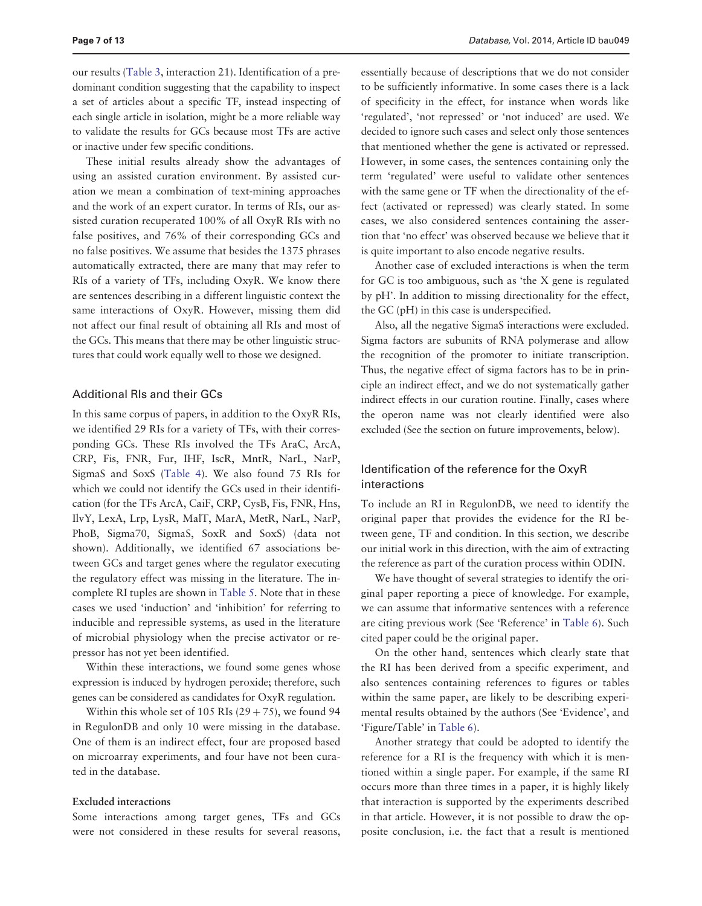our results [\(Table 3](#page-5-0), interaction 21). Identification of a predominant condition suggesting that the capability to inspect a set of articles about a specific TF, instead inspecting of each single article in isolation, might be a more reliable way to validate the results for GCs because most TFs are active or inactive under few specific conditions.

These initial results already show the advantages of using an assisted curation environment. By assisted curation we mean a combination of text-mining approaches and the work of an expert curator. In terms of RIs, our assisted curation recuperated 100% of all OxyR RIs with no false positives, and 76% of their corresponding GCs and no false positives. We assume that besides the 1375 phrases automatically extracted, there are many that may refer to RIs of a variety of TFs, including OxyR. We know there are sentences describing in a different linguistic context the same interactions of OxyR. However, missing them did not affect our final result of obtaining all RIs and most of the GCs. This means that there may be other linguistic structures that could work equally well to those we designed.

#### Additional RIs and their GCs

In this same corpus of papers, in addition to the OxyR RIs, we identified 29 RIs for a variety of TFs, with their corresponding GCs. These RIs involved the TFs AraC, ArcA, CRP, Fis, FNR, Fur, IHF, IscR, MntR, NarL, NarP, SigmaS and SoxS [\(Table 4\)](#page-7-0). We also found 75 RIs for which we could not identify the GCs used in their identification (for the TFs ArcA, CaiF, CRP, CysB, Fis, FNR, Hns, IlvY, LexA, Lrp, LysR, MalT, MarA, MetR, NarL, NarP, PhoB, Sigma70, SigmaS, SoxR and SoxS) (data not shown). Additionally, we identified 67 associations between GCs and target genes where the regulator executing the regulatory effect was missing in the literature. The incomplete RI tuples are shown in [Table 5.](#page-8-0) Note that in these cases we used 'induction' and 'inhibition' for referring to inducible and repressible systems, as used in the literature of microbial physiology when the precise activator or repressor has not yet been identified.

Within these interactions, we found some genes whose expression is induced by hydrogen peroxide; therefore, such genes can be considered as candidates for OxyR regulation.

Within this whole set of 105 RIs  $(29 + 75)$ , we found 94 in RegulonDB and only 10 were missing in the database. One of them is an indirect effect, four are proposed based on microarray experiments, and four have not been curated in the database.

## Excluded interactions

Some interactions among target genes, TFs and GCs were not considered in these results for several reasons,

essentially because of descriptions that we do not consider to be sufficiently informative. In some cases there is a lack of specificity in the effect, for instance when words like 'regulated', 'not repressed' or 'not induced' are used. We decided to ignore such cases and select only those sentences that mentioned whether the gene is activated or repressed. However, in some cases, the sentences containing only the term 'regulated' were useful to validate other sentences with the same gene or TF when the directionality of the effect (activated or repressed) was clearly stated. In some cases, we also considered sentences containing the assertion that 'no effect' was observed because we believe that it is quite important to also encode negative results.

Another case of excluded interactions is when the term for GC is too ambiguous, such as 'the X gene is regulated by pH'. In addition to missing directionality for the effect, the GC (pH) in this case is underspecified.

Also, all the negative SigmaS interactions were excluded. Sigma factors are subunits of RNA polymerase and allow the recognition of the promoter to initiate transcription. Thus, the negative effect of sigma factors has to be in principle an indirect effect, and we do not systematically gather indirect effects in our curation routine. Finally, cases where the operon name was not clearly identified were also excluded (See the section on future improvements, below).

## Identification of the reference for the OxyR interactions

To include an RI in RegulonDB, we need to identify the original paper that provides the evidence for the RI between gene, TF and condition. In this section, we describe our initial work in this direction, with the aim of extracting the reference as part of the curation process within ODIN.

We have thought of several strategies to identify the original paper reporting a piece of knowledge. For example, we can assume that informative sentences with a reference are citing previous work (See 'Reference' in [Table 6\)](#page-9-0). Such cited paper could be the original paper.

On the other hand, sentences which clearly state that the RI has been derived from a specific experiment, and also sentences containing references to figures or tables within the same paper, are likely to be describing experimental results obtained by the authors (See 'Evidence', and 'Figure/Table' in [Table 6](#page-9-0)).

Another strategy that could be adopted to identify the reference for a RI is the frequency with which it is mentioned within a single paper. For example, if the same RI occurs more than three times in a paper, it is highly likely that interaction is supported by the experiments described in that article. However, it is not possible to draw the opposite conclusion, i.e. the fact that a result is mentioned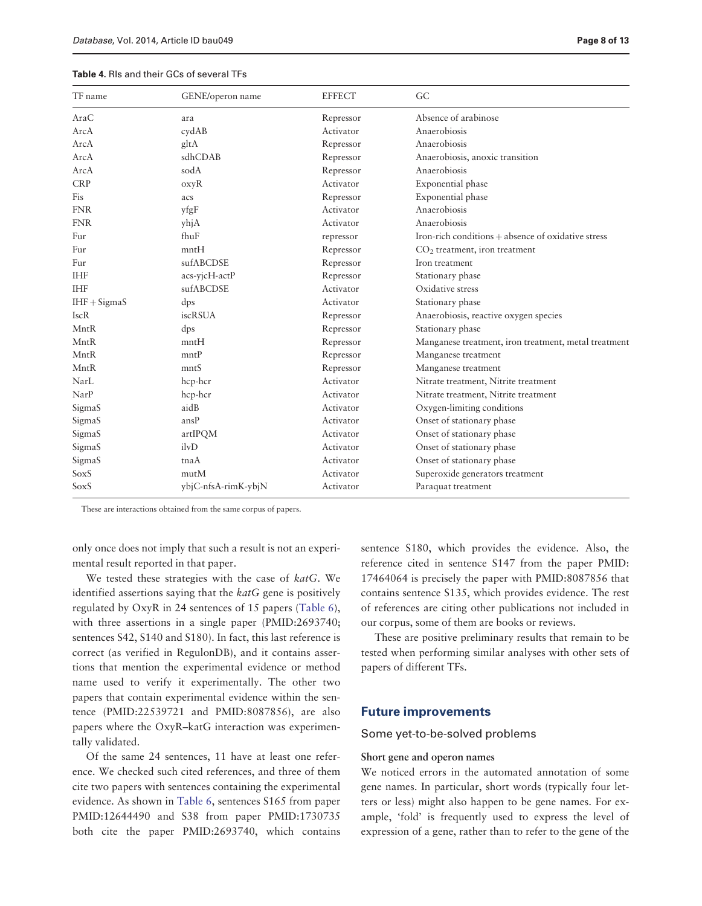<span id="page-7-0"></span>

| <b>Table 4.</b> RIs and their GCs of several TFs |  |  |  |  |  |  |  |
|--------------------------------------------------|--|--|--|--|--|--|--|
|--------------------------------------------------|--|--|--|--|--|--|--|

| TF name        | GENE/operon name    | <b>EFFECT</b> | GC                                                   |
|----------------|---------------------|---------------|------------------------------------------------------|
| AraC           | ara                 | Repressor     | Absence of arabinose                                 |
| ArcA           | cydAB               | Activator     | Anaerobiosis                                         |
| ArcA           | gltA                | Repressor     | Anaerobiosis                                         |
| ArcA           | sdhCDAB             | Repressor     | Anaerobiosis, anoxic transition                      |
| ArcA           | sodA                | Repressor     | Anaerobiosis                                         |
| <b>CRP</b>     | oxyR                | Activator     | Exponential phase                                    |
| Fis            | acs                 | Repressor     | Exponential phase                                    |
| <b>FNR</b>     | yfgF                | Activator     | Anaerobiosis                                         |
| <b>FNR</b>     | yhjA                | Activator     | Anaerobiosis                                         |
| Fur            | fhuF                | repressor     | Iron-rich conditions $+$ absence of oxidative stress |
| Fur            | mntH                | Repressor     | $CO2$ treatment, iron treatment                      |
| Fur            | sufABCDSE           | Repressor     | Iron treatment                                       |
| <b>IHF</b>     | acs-yjcH-actP       | Repressor     | Stationary phase                                     |
| <b>IHF</b>     | sufABCDSE           | Activator     | Oxidative stress                                     |
| $IHF + SigmaS$ | dps                 | Activator     | Stationary phase                                     |
| <b>IscR</b>    | iscRSUA             | Repressor     | Anaerobiosis, reactive oxygen species                |
| MntR           | dps                 | Repressor     | Stationary phase                                     |
| MntR           | mntH                | Repressor     | Manganese treatment, iron treatment, metal treatment |
| MntR           | mntP                | Repressor     | Manganese treatment                                  |
| MntR           | mntS                | Repressor     | Manganese treatment                                  |
| NarL           | hcp-hcr             | Activator     | Nitrate treatment, Nitrite treatment                 |
| NarP           | hcp-hcr             | Activator     | Nitrate treatment, Nitrite treatment                 |
| SigmaS         | aidB                | Activator     | Oxygen-limiting conditions                           |
| SigmaS         | ansP                | Activator     | Onset of stationary phase                            |
| SigmaS         | artIPQM             | Activator     | Onset of stationary phase                            |
| SigmaS         | ilvD                | Activator     | Onset of stationary phase                            |
| SigmaS         | tnaA                | Activator     | Onset of stationary phase                            |
| SoxS           | mutM                | Activator     | Superoxide generators treatment                      |
| SoxS           | ybjC-nfsA-rimK-ybjN | Activator     | Paraquat treatment                                   |

These are interactions obtained from the same corpus of papers.

only once does not imply that such a result is not an experimental result reported in that paper.

We tested these strategies with the case of katG. We identified assertions saying that the *katG* gene is positively regulated by OxyR in 24 sentences of 15 papers ([Table 6](#page-9-0)), with three assertions in a single paper (PMID:2693740; sentences S42, S140 and S180). In fact, this last reference is correct (as verified in RegulonDB), and it contains assertions that mention the experimental evidence or method name used to verify it experimentally. The other two papers that contain experimental evidence within the sentence (PMID:22539721 and PMID:8087856), are also papers where the OxyR–katG interaction was experimentally validated.

Of the same 24 sentences, 11 have at least one reference. We checked such cited references, and three of them cite two papers with sentences containing the experimental evidence. As shown in [Table 6,](#page-9-0) sentences S165 from paper PMID:12644490 and S38 from paper PMID:1730735 both cite the paper PMID:2693740, which contains

sentence S180, which provides the evidence. Also, the reference cited in sentence S147 from the paper PMID: 17464064 is precisely the paper with PMID:8087856 that contains sentence S135, which provides evidence. The rest of references are citing other publications not included in our corpus, some of them are books or reviews.

These are positive preliminary results that remain to be tested when performing similar analyses with other sets of papers of different TFs.

## Future improvements

#### Some yet-to-be-solved problems

#### Short gene and operon names

We noticed errors in the automated annotation of some gene names. In particular, short words (typically four letters or less) might also happen to be gene names. For example, 'fold' is frequently used to express the level of expression of a gene, rather than to refer to the gene of the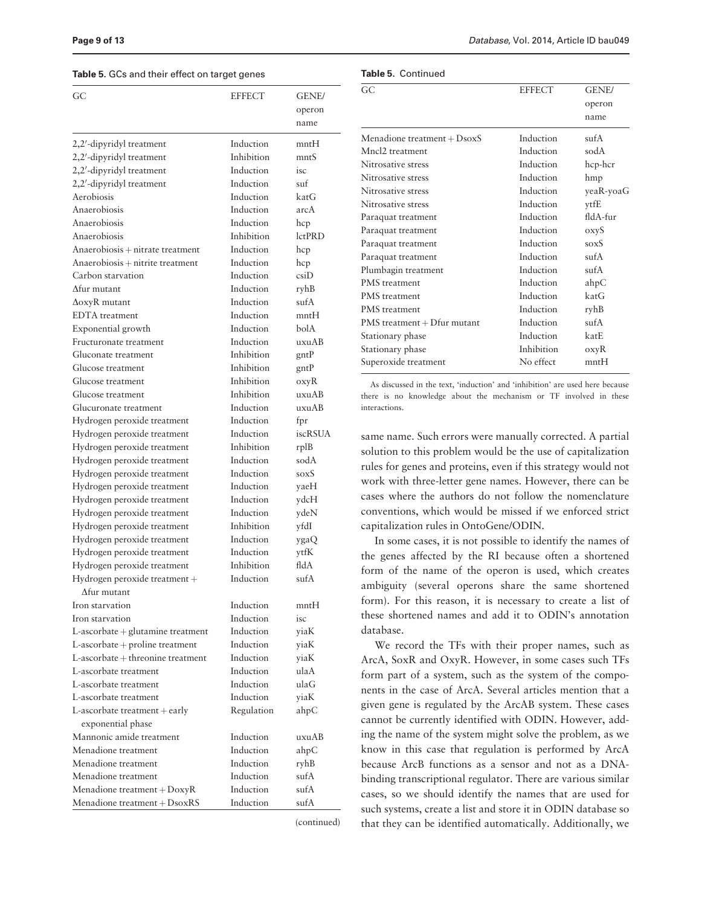#### <span id="page-8-0"></span>Table 5. GCs and their effect on target genes

| GС                                     | <b>EFFECT</b> | GENE/       |
|----------------------------------------|---------------|-------------|
|                                        |               | operon      |
|                                        |               | name        |
| 2,2'-dipyridyl treatment               | Induction     | mntH        |
| 2,2'-dipyridyl treatment               | Inhibition    | mntS        |
| 2,2'-dipyridyl treatment               | Induction     | isc         |
| 2,2'-dipyridyl treatment               | Induction     | suf         |
| Aerobiosis                             | Induction     | katG        |
| Anaerobiosis                           | Induction     | arcA        |
| Anaerobiosis                           | Induction     | hcp         |
| Anaerobiosis                           | Inhibition    | lctPRD      |
| Anaerobiosis + nitrate treatment       | Induction     | hcp         |
| Anaerobiosis + nitrite treatment       | Induction     | hcp         |
| Carbon starvation                      | Induction     | csiD        |
| Afur mutant                            | Induction     | ryhB        |
| $\Delta$ oxyR mutant                   | Induction     | sufA        |
| <b>EDTA</b> treatment                  | Induction     | mntH        |
| Exponential growth                     | Induction     | bolA        |
| Fructuronate treatment                 | Induction     | uxuAB       |
| Gluconate treatment                    | Inhibition    | gntP        |
| Glucose treatment                      | Inhibition    | gntP        |
| Glucose treatment                      | Inhibition    | oxyR        |
| Glucose treatment                      | Inhibition    | uxuAB       |
| Glucuronate treatment                  | Induction     | uxuAB       |
| Hydrogen peroxide treatment            | Induction     | fpr         |
| Hydrogen peroxide treatment            | Induction     | iscRSUA     |
| Hydrogen peroxide treatment            | Inhibition    | rplB        |
| Hydrogen peroxide treatment            | Induction     | sodA        |
| Hydrogen peroxide treatment            | Induction     | soxS        |
| Hydrogen peroxide treatment            | Induction     | yaeH        |
| Hydrogen peroxide treatment            | Induction     | ydcH        |
| Hydrogen peroxide treatment            | Induction     | ydeN        |
| Hydrogen peroxide treatment            | Inhibition    | yfdI        |
| Hydrogen peroxide treatment            | Induction     | ygaQ        |
| Hydrogen peroxide treatment            | Induction     | ytfK        |
| Hydrogen peroxide treatment            | Inhibition    | <b>fldA</b> |
| Hydrogen peroxide treatment +          | Induction     | $\sin fA$   |
| Afur mutant                            |               |             |
| Iron starvation                        | Induction     | mntH        |
| Iron starvation                        | Induction     | isc         |
| L-ascorbate + glutamine treatment      | Induction     | yiaK        |
| L-ascorbate + proline treatment        | Induction     | yiaK        |
| $L$ -ascorbate $+$ threonine treatment | Induction     | yiaK        |
| L-ascorbate treatment                  | Induction     | ulaA        |
| L-ascorbate treatment                  | Induction     | ulaG        |
| L-ascorbate treatment                  | Induction     | yiaK        |
| $L$ -ascorbate treatment $+$ early     | Regulation    | ahpC        |
| exponential phase                      |               |             |
| Mannonic amide treatment               | Induction     | uxuAB       |
| Menadione treatment                    | Induction     | ahpC        |
| Menadione treatment                    | Induction     | ryhB        |
| Menadione treatment                    | Induction     | sufA        |
| Menadione treatment + DoxyR            | Induction     | sufA        |
| Menadione treatment + DsoxRS           | Induction     | sufA        |
|                                        |               |             |

(continued)

|  | Table 5. Continued |
|--|--------------------|
|--|--------------------|

| GC                               | <b>EFFECT</b> | <b>GENE/</b> |
|----------------------------------|---------------|--------------|
|                                  |               | operon       |
|                                  |               | name         |
| Menadione treatment + DsoxS      | Induction     | sufA         |
| Mncl2 treatment                  | Induction     | sodA         |
| Nitrosative stress               | Induction     | hcp-hcr      |
| Nitrosative stress               | Induction     | hmp          |
| Nitrosative stress               | Induction     | yeaR-yoaG    |
| Nitrosative stress               | Induction     | ytfE         |
| Paraquat treatment               | Induction     | $f dA-fur$   |
| Paraquat treatment               | Induction     | oxyS         |
| Paraquat treatment               | Induction     | soxS         |
| Paraquat treatment               | Induction     | sufA         |
| Plumbagin treatment              | Induction     | sufA         |
| <b>PMS</b> treatment             | Induction     | ahpC         |
| PMS treatment                    | Induction     | $k$ at $G$   |
| PMS treatment                    | Induction     | ryhB         |
| $PMS$ treatment + $D$ fur mutant | Induction     | sufA         |
| Stationary phase                 | Induction     | katE         |
| Stationary phase                 | Inhibition    | oxyR         |
| Superoxide treatment             | No effect     | mntH         |

As discussed in the text, 'induction' and 'inhibition' are used here because there is no knowledge about the mechanism or TF involved in these interactions.

same name. Such errors were manually corrected. A partial solution to this problem would be the use of capitalization rules for genes and proteins, even if this strategy would not work with three-letter gene names. However, there can be cases where the authors do not follow the nomenclature conventions, which would be missed if we enforced strict capitalization rules in OntoGene/ODIN.

In some cases, it is not possible to identify the names of the genes affected by the RI because often a shortened form of the name of the operon is used, which creates ambiguity (several operons share the same shortened form). For this reason, it is necessary to create a list of these shortened names and add it to ODIN's annotation database.

We record the TFs with their proper names, such as ArcA, SoxR and OxyR. However, in some cases such TFs form part of a system, such as the system of the components in the case of ArcA. Several articles mention that a given gene is regulated by the ArcAB system. These cases cannot be currently identified with ODIN. However, adding the name of the system might solve the problem, as we know in this case that regulation is performed by ArcA because ArcB functions as a sensor and not as a DNAbinding transcriptional regulator. There are various similar cases, so we should identify the names that are used for such systems, create a list and store it in ODIN database so that they can be identified automatically. Additionally, we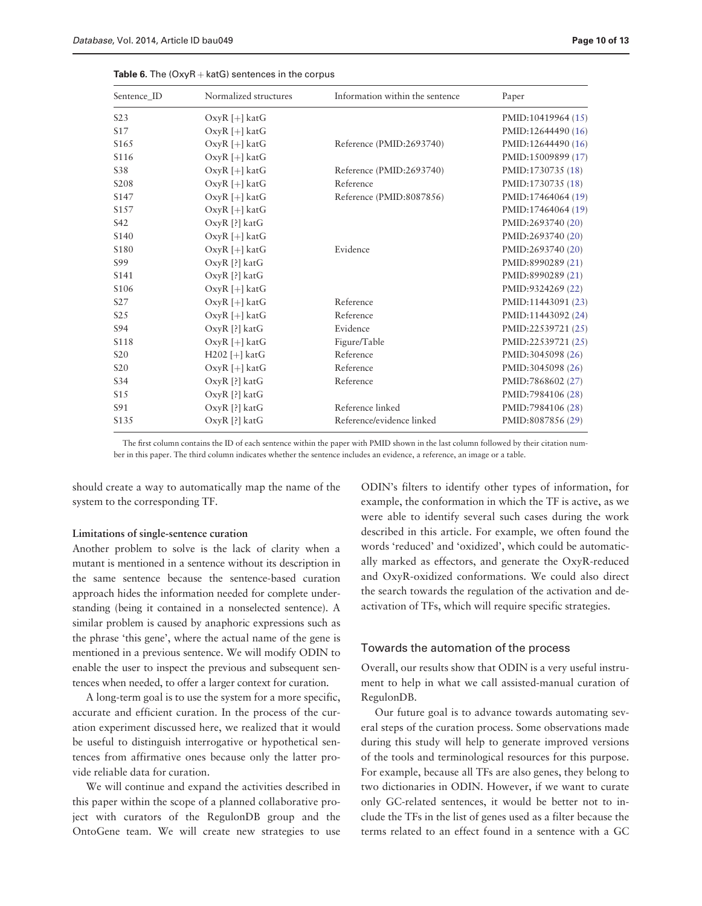| Sentence_ID      | Normalized structures | Information within the sentence | Paper              |
|------------------|-----------------------|---------------------------------|--------------------|
| S <sub>23</sub>  | $OxyR$ [+] kat $G$    |                                 | PMID:10419964 (15) |
| S17              | $OxyR$ [+] kat $G$    |                                 | PMID:12644490 (16) |
| S165             | $OxyR$ [+] kat $G$    | Reference (PMID:2693740)        | PMID:12644490 (16) |
| S116             | $OxyR$ [+] kat $G$    |                                 | PMID:15009899 (17) |
| S38              | $OxyR$ [+] kat $G$    | Reference (PMID:2693740)        | PMID:1730735 (18)  |
| <b>S208</b>      | $OxyR$ [+] kat $G$    | Reference                       | PMID:1730735 (18)  |
| S147             | $OxyR$ [+] kat $G$    | Reference (PMID:8087856)        | PMID:17464064 (19) |
| S157             | $OxyR$ [+] kat $G$    |                                 | PMID:17464064 (19) |
| S42              | $OxyR$ [?] kat $G$    |                                 | PMID:2693740 (20)  |
| S <sub>140</sub> | $OxyR$ [+] kat $G$    |                                 | PMID:2693740 (20)  |
| S180             | $OxyR$ [+] kat $G$    | Evidence                        | PMID:2693740 (20)  |
| S99              | $OxyR$ [?] kat $G$    |                                 | PMID:8990289 (21)  |
| S <sub>141</sub> | $OxyR$ [?] kat $G$    |                                 | PMID:8990289 (21)  |
| S106             | $OxyR$ [+] kat $G$    |                                 | PMID:9324269 (22)  |
| S <sub>27</sub>  | $OxyR$ [+] kat $G$    | Reference                       | PMID:11443091 (23) |
| S25              | $OxyR$ [+] kat $G$    | Reference                       | PMID:11443092 (24) |
| S <sub>94</sub>  | $OxyR$ [?] kat $G$    | Evidence                        | PMID:22539721 (25) |
| S118             | $OxyR$ [+] kat $G$    | Figure/Table                    | PMID:22539721 (25) |
| S <sub>20</sub>  | $H202$ [+] katG       | Reference                       | PMID:3045098 (26)  |
| S <sub>20</sub>  | $OxyR$ [+] kat $G$    | Reference                       | PMID:3045098 (26)  |
| S34              | OxyR [?] katG         | Reference                       | PMID:7868602 (27)  |
| S15              | OxyR [?] katG         |                                 | PMID:7984106 (28)  |
| S91              | OxyR [?] katG         | Reference linked                | PMID:7984106 (28)  |
| S135             | OxyR [?] katG         | Reference/evidence linked       | PMID:8087856 (29)  |

<span id="page-9-0"></span>**Table 6.** The  $(OxyR + katG)$  sentences in the corpus

The first column contains the ID of each sentence within the paper with PMID shown in the last column followed by their citation number in this paper. The third column indicates whether the sentence includes an evidence, a reference, an image or a table.

should create a way to automatically map the name of the system to the corresponding TF.

#### Limitations of single-sentence curation

Another problem to solve is the lack of clarity when a mutant is mentioned in a sentence without its description in the same sentence because the sentence-based curation approach hides the information needed for complete understanding (being it contained in a nonselected sentence). A similar problem is caused by anaphoric expressions such as the phrase 'this gene', where the actual name of the gene is mentioned in a previous sentence. We will modify ODIN to enable the user to inspect the previous and subsequent sentences when needed, to offer a larger context for curation.

A long-term goal is to use the system for a more specific, accurate and efficient curation. In the process of the curation experiment discussed here, we realized that it would be useful to distinguish interrogative or hypothetical sentences from affirmative ones because only the latter provide reliable data for curation.

We will continue and expand the activities described in this paper within the scope of a planned collaborative project with curators of the RegulonDB group and the OntoGene team. We will create new strategies to use

ODIN's filters to identify other types of information, for example, the conformation in which the TF is active, as we were able to identify several such cases during the work described in this article. For example, we often found the words 'reduced' and 'oxidized', which could be automatically marked as effectors, and generate the OxyR-reduced and OxyR-oxidized conformations. We could also direct the search towards the regulation of the activation and deactivation of TFs, which will require specific strategies.

### Towards the automation of the process

Overall, our results show that ODIN is a very useful instrument to help in what we call assisted-manual curation of RegulonDB.

Our future goal is to advance towards automating several steps of the curation process. Some observations made during this study will help to generate improved versions of the tools and terminological resources for this purpose. For example, because all TFs are also genes, they belong to two dictionaries in ODIN. However, if we want to curate only GC-related sentences, it would be better not to include the TFs in the list of genes used as a filter because the terms related to an effect found in a sentence with a GC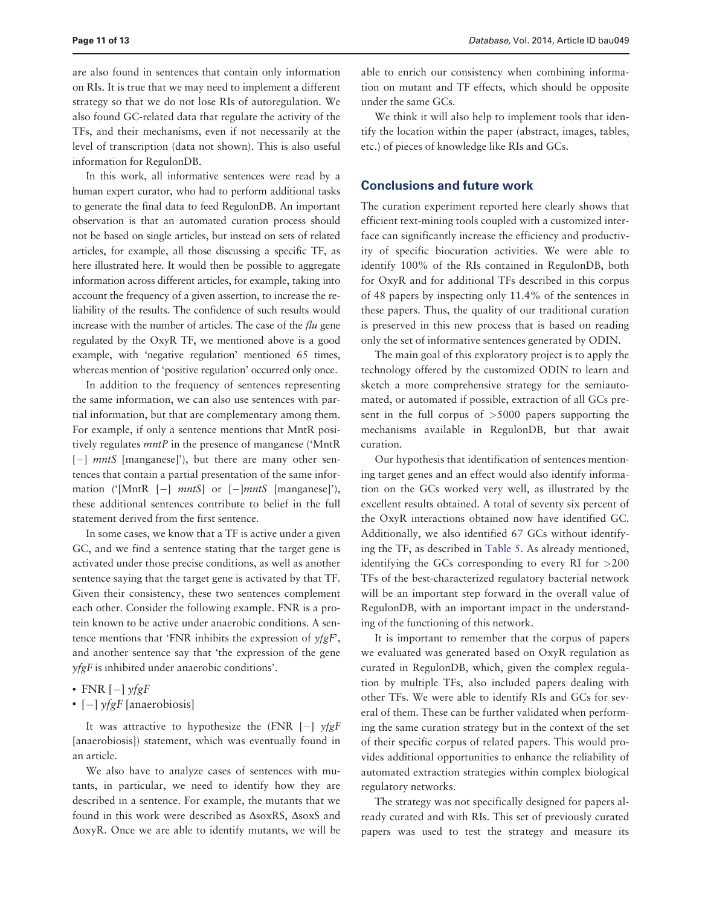are also found in sentences that contain only information on RIs. It is true that we may need to implement a different strategy so that we do not lose RIs of autoregulation. We also found GC-related data that regulate the activity of the TFs, and their mechanisms, even if not necessarily at the level of transcription (data not shown). This is also useful information for RegulonDB.

In this work, all informative sentences were read by a human expert curator, who had to perform additional tasks to generate the final data to feed RegulonDB. An important observation is that an automated curation process should not be based on single articles, but instead on sets of related articles, for example, all those discussing a specific TF, as here illustrated here. It would then be possible to aggregate information across different articles, for example, taking into account the frequency of a given assertion, to increase the reliability of the results. The confidence of such results would increase with the number of articles. The case of the  $flu$  gene regulated by the OxyR TF, we mentioned above is a good example, with 'negative regulation' mentioned 65 times, whereas mention of 'positive regulation' occurred only once.

In addition to the frequency of sentences representing the same information, we can also use sentences with partial information, but that are complementary among them. For example, if only a sentence mentions that MntR positively regulates  $mntP$  in the presence of manganese ('MntR [-] mntS [manganese]'), but there are many other sentences that contain a partial presentation of the same information ('[MntR [-] *mntS*] or [-]*mntS* [manganese]'), these additional sentences contribute to belief in the full statement derived from the first sentence.

In some cases, we know that a TF is active under a given GC, and we find a sentence stating that the target gene is activated under those precise conditions, as well as another sentence saying that the target gene is activated by that TF. Given their consistency, these two sentences complement each other. Consider the following example. FNR is a protein known to be active under anaerobic conditions. A sentence mentions that 'FNR inhibits the expression of yfgF', and another sentence say that 'the expression of the gene yfgF is inhibited under anaerobic conditions'.

- FNR  $[-]$  yfgF
- [-] yfgF [anaerobiosis]

It was attractive to hypothesize the (FNR [-]  $yfgF$ [anaerobiosis]) statement, which was eventually found in an article.

We also have to analyze cases of sentences with mutants, in particular, we need to identify how they are described in a sentence. For example, the mutants that we found in this work were described as  $\triangle$ soxRS,  $\triangle$ soxS and  $\Delta$ oxyR. Once we are able to identify mutants, we will be

able to enrich our consistency when combining information on mutant and TF effects, which should be opposite under the same GCs.

We think it will also help to implement tools that identify the location within the paper (abstract, images, tables, etc.) of pieces of knowledge like RIs and GCs.

## Conclusions and future work

The curation experiment reported here clearly shows that efficient text-mining tools coupled with a customized interface can significantly increase the efficiency and productivity of specific biocuration activities. We were able to identify 100% of the RIs contained in RegulonDB, both for OxyR and for additional TFs described in this corpus of 48 papers by inspecting only 11.4% of the sentences in these papers. Thus, the quality of our traditional curation is preserved in this new process that is based on reading only the set of informative sentences generated by ODIN.

The main goal of this exploratory project is to apply the technology offered by the customized ODIN to learn and sketch a more comprehensive strategy for the semiautomated, or automated if possible, extraction of all GCs present in the full corpus of >5000 papers supporting the mechanisms available in RegulonDB, but that await curation.

Our hypothesis that identification of sentences mentioning target genes and an effect would also identify information on the GCs worked very well, as illustrated by the excellent results obtained. A total of seventy six percent of the OxyR interactions obtained now have identified GC. Additionally, we also identified 67 GCs without identifying the TF, as described in [Table 5](#page-8-0). As already mentioned, identifying the GCs corresponding to every RI for >200 TFs of the best-characterized regulatory bacterial network will be an important step forward in the overall value of RegulonDB, with an important impact in the understanding of the functioning of this network.

It is important to remember that the corpus of papers we evaluated was generated based on OxyR regulation as curated in RegulonDB, which, given the complex regulation by multiple TFs, also included papers dealing with other TFs. We were able to identify RIs and GCs for several of them. These can be further validated when performing the same curation strategy but in the context of the set of their specific corpus of related papers. This would provides additional opportunities to enhance the reliability of automated extraction strategies within complex biological regulatory networks.

The strategy was not specifically designed for papers already curated and with RIs. This set of previously curated papers was used to test the strategy and measure its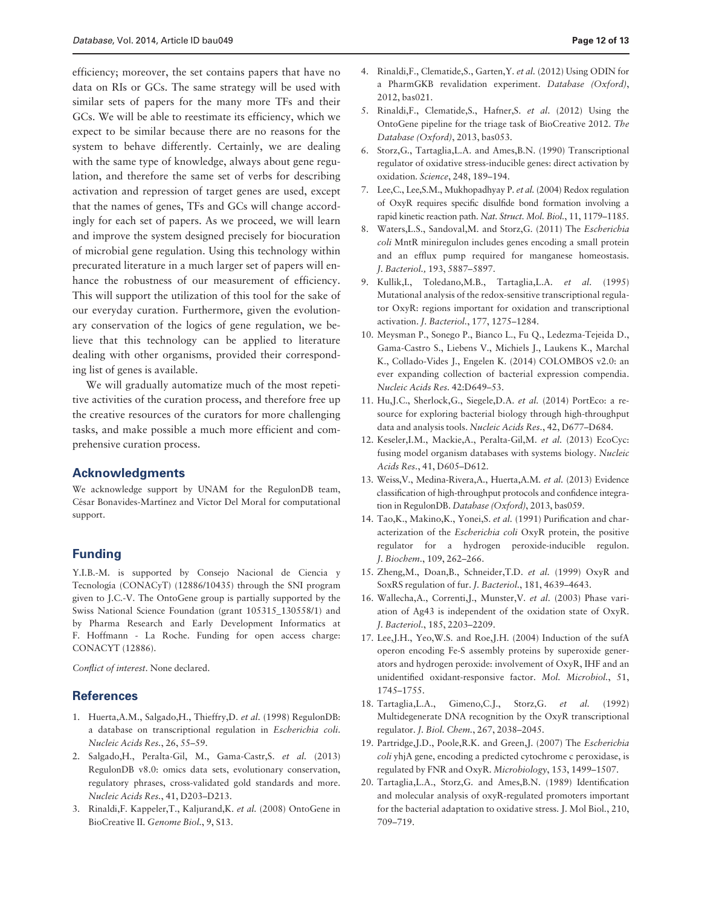<span id="page-11-0"></span>efficiency; moreover, the set contains papers that have no data on RIs or GCs. The same strategy will be used with similar sets of papers for the many more TFs and their GCs. We will be able to reestimate its efficiency, which we expect to be similar because there are no reasons for the system to behave differently. Certainly, we are dealing with the same type of knowledge, always about gene regulation, and therefore the same set of verbs for describing activation and repression of target genes are used, except that the names of genes, TFs and GCs will change accordingly for each set of papers. As we proceed, we will learn and improve the system designed precisely for biocuration of microbial gene regulation. Using this technology within precurated literature in a much larger set of papers will enhance the robustness of our measurement of efficiency. This will support the utilization of this tool for the sake of our everyday curation. Furthermore, given the evolutionary conservation of the logics of gene regulation, we believe that this technology can be applied to literature dealing with other organisms, provided their corresponding list of genes is available.

We will gradually automatize much of the most repetitive activities of the curation process, and therefore free up the creative resources of the curators for more challenging tasks, and make possible a much more efficient and comprehensive curation process.

## Acknowledgments

We acknowledge support by UNAM for the RegulonDB team, César Bonavides-Martínez and Víctor Del Moral for computational support.

## Funding

Y.I.B.-M. is supported by Consejo Nacional de Ciencia y Tecnología (CONACyT) (12886/10435) through the SNI program given to J.C.-V. The OntoGene group is partially supported by the Swiss National Science Foundation (grant 105315\_130558/1) and by Pharma Research and Early Development Informatics at F. Hoffmann - La Roche. Funding for open access charge: CONACYT (12886).

Conflict of interest. None declared.

## **References**

- 1. Huerta,A.M., Salgado,H., Thieffry,D. et al. (1998) RegulonDB: a database on transcriptional regulation in Escherichia coli. Nucleic Acids Res., 26, 55–59.
- 2. Salgado,H., Peralta-Gil, M., Gama-Castr,S. et al. (2013) RegulonDB v8.0: omics data sets, evolutionary conservation, regulatory phrases, cross-validated gold standards and more. Nucleic Acids Res., 41, D203–D213.
- 3. Rinaldi,F. Kappeler,T., Kaljurand,K. et al. (2008) OntoGene in BioCreative II. Genome Biol., 9, S13.
- 4. Rinaldi,F., Clematide,S., Garten,Y. et al. (2012) Using ODIN for a PharmGKB revalidation experiment. Database (Oxford), 2012, bas021.
- 5. Rinaldi,F., Clematide,S., Hafner,S. et al. (2012) Using the OntoGene pipeline for the triage task of BioCreative 2012. The Database (Oxford), 2013, bas053.
- 6. Storz,G., Tartaglia,L.A. and Ames,B.N. (1990) Transcriptional regulator of oxidative stress-inducible genes: direct activation by oxidation. Science, 248, 189–194.
- 7. Lee,C., Lee,S.M., Mukhopadhyay P. et al. (2004) Redox regulation of OxyR requires specific disulfide bond formation involving a rapid kinetic reaction path. Nat. Struct. Mol. Biol., 11, 1179–1185.
- 8. Waters,L.S., Sandoval,M. and Storz,G. (2011) The Escherichia coli MntR miniregulon includes genes encoding a small protein and an efflux pump required for manganese homeostasis. J. Bacteriol., 193, 5887–5897.
- 9. Kullik,I., Toledano,M.B., Tartaglia,L.A. et al. (1995) Mutational analysis of the redox-sensitive transcriptional regulator OxyR: regions important for oxidation and transcriptional activation. J. Bacteriol., 177, 1275–1284.
- 10. Meysman P., Sonego P., Bianco L., Fu Q., Ledezma-Tejeida D., Gama-Castro S., Liebens V., Michiels J., Laukens K., Marchal K., Collado-Vides J., Engelen K. (2014) COLOMBOS v2.0: an ever expanding collection of bacterial expression compendia. Nucleic Acids Res. 42:D649–53.
- 11. Hu,J.C., Sherlock,G., Siegele,D.A. et al. (2014) PortEco: a resource for exploring bacterial biology through high-throughput data and analysis tools. Nucleic Acids Res., 42, D677–D684.
- 12. Keseler,I.M., Mackie,A., Peralta-Gil,M. et al. (2013) EcoCyc: fusing model organism databases with systems biology. Nucleic Acids Res., 41, D605–D612.
- 13. Weiss,V., Medina-Rivera,A., Huerta,A.M. et al. (2013) Evidence classification of high-throughput protocols and confidence integration in RegulonDB. Database (Oxford), 2013, bas059.
- 14. Tao,K., Makino,K., Yonei,S. et al. (1991) Purification and characterization of the Escherichia coli OxyR protein, the positive regulator for a hydrogen peroxide-inducible regulon. J. Biochem., 109, 262–266.
- 15. Zheng,M., Doan,B., Schneider,T.D. et al. (1999) OxyR and SoxRS regulation of fur. J. Bacteriol., 181, 4639–4643.
- 16. Wallecha,A., Correnti,J., Munster,V. et al. (2003) Phase variation of Ag43 is independent of the oxidation state of OxyR. J. Bacteriol., 185, 2203–2209.
- 17. Lee,J.H., Yeo,W.S. and Roe,J.H. (2004) Induction of the sufA operon encoding Fe-S assembly proteins by superoxide generators and hydrogen peroxide: involvement of OxyR, IHF and an unidentified oxidant-responsive factor. Mol. Microbiol., 51, 1745–1755.
- 18. Tartaglia,L.A., Gimeno,C.J., Storz,G. et al. (1992) Multidegenerate DNA recognition by the OxyR transcriptional regulator. J. Biol. Chem., 267, 2038–2045.
- 19. Partridge,J.D., Poole,R.K. and Green,J. (2007) The Escherichia coli yhjA gene, encoding a predicted cytochrome c peroxidase, is regulated by FNR and OxyR. Microbiology, 153, 1499–1507.
- 20. Tartaglia,L.A., Storz,G. and Ames,B.N. (1989) Identification and molecular analysis of oxyR-regulated promoters important for the bacterial adaptation to oxidative stress. J. Mol Biol., 210, 709–719.